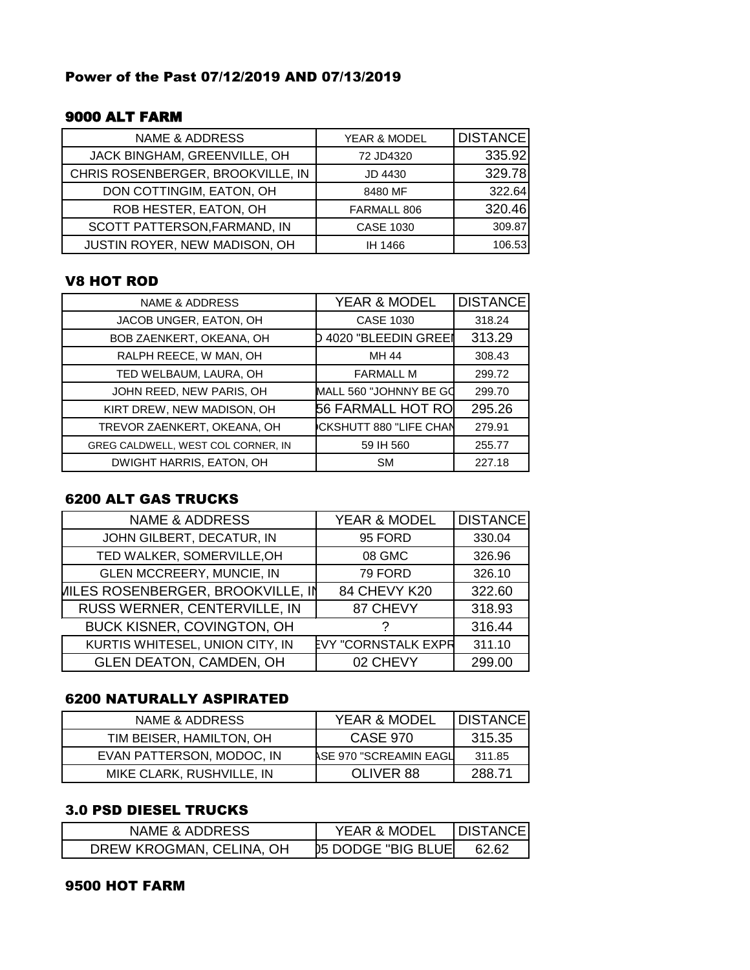### Power of the Past 07/12/2019 AND 07/13/2019

## 9000 ALT FARM

| <b>NAME &amp; ADDRESS</b>         | YEAR & MODEL     | DISTANCE |
|-----------------------------------|------------------|----------|
| JACK BINGHAM, GREENVILLE, OH      | 72 JD4320        | 335.92   |
| CHRIS ROSENBERGER, BROOKVILLE, IN | JD 4430          | 329.78   |
| DON COTTINGIM, EATON, OH          | 8480 MF          | 322.64   |
| ROB HESTER, EATON, OH             | FARMALL 806      | 320.46   |
| SCOTT PATTERSON, FARMAND, IN      | <b>CASE 1030</b> | 309.87   |
| JUSTIN ROYER, NEW MADISON, OH     | IH 1466          | 106.53   |

#### V8 HOT ROD

| <b>NAME &amp; ADDRESS</b>          | YEAR & MODEL             | <b>DISTANCE</b> |
|------------------------------------|--------------------------|-----------------|
| JACOB UNGER, EATON, OH             | <b>CASE 1030</b>         | 318.24          |
| BOB ZAENKERT, OKEANA, OH           | 4020 "BLEEDIN GREEI      | 313.29          |
| RALPH REECE, W MAN, OH             | MH 44                    | 308.43          |
| TED WELBAUM, LAURA, OH             | <b>FARMALL M</b>         | 299.72          |
| JOHN REED, NEW PARIS, OH           | MALL 560 "JOHNNY BE GO   | 299.70          |
| KIRT DREW, NEW MADISON, OH         | <b>56 FARMALL HOT RO</b> | 295.26          |
| TREVOR ZAENKERT, OKEANA, OH        | CKSHUTT 880 "LIFE CHAN   | 279.91          |
| GREG CALDWELL, WEST COL CORNER, IN | 59 IH 560                | 255.77          |
| DWIGHT HARRIS, EATON, OH           | <b>SM</b>                | 227.18          |

## 6200 ALT GAS TRUCKS

| <b>NAME &amp; ADDRESS</b>                | YEAR & MODEL               | <b>DISTANCE</b> |
|------------------------------------------|----------------------------|-----------------|
| JOHN GILBERT, DECATUR, IN                | 95 FORD                    | 330.04          |
| TED WALKER, SOMERVILLE, OH               | 08 GMC                     | 326.96          |
| <b>GLEN MCCREERY, MUNCIE, IN</b>         | 79 FORD                    | 326.10          |
| <b>MILES ROSENBERGER, BROOKVILLE, IN</b> | 84 CHEVY K20               | 322.60          |
| RUSS WERNER, CENTERVILLE, IN             | 87 CHEVY                   | 318.93          |
| BUCK KISNER, COVINGTON, OH               |                            | 316.44          |
| KURTIS WHITESEL, UNION CITY, IN          | <b>EVY "CORNSTALK EXPR</b> | 311.10          |
| <b>GLEN DEATON, CAMDEN, OH</b>           | 02 CHEVY                   | 299.00          |

#### 6200 NATURALLY ASPIRATED

| NAME & ADDRESS            | <b>YEAR &amp; MODEL</b> | <b>IDISTANCE</b> |
|---------------------------|-------------------------|------------------|
| TIM BEISER, HAMILTON, OH  | <b>CASE 970</b>         | 315.35           |
| EVAN PATTERSON, MODOC, IN | ASE 970 "SCREAMIN EAGL  | 311.85           |
| MIKE CLARK, RUSHVILLE, IN | OLIVER 88               | 288.71           |

# 3.0 PSD DIESEL TRUCKS

| NAME & ADDRESS           | <b>YEAR &amp; MODEL</b>     | <b>IDISTANCEI</b> |
|--------------------------|-----------------------------|-------------------|
| DREW KROGMAN, CELINA, OH | <b>D5 DODGE "BIG BLUEL"</b> | 62.62             |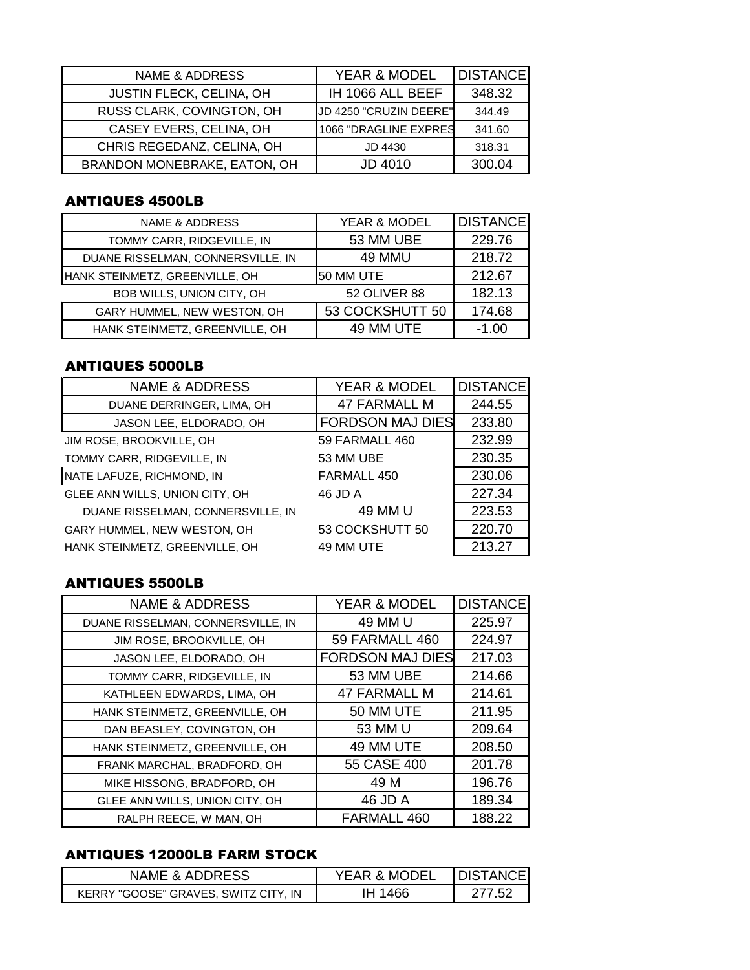| NAME & ADDRESS                  | YEAR & MODEL           | <b>DISTANCE</b> |
|---------------------------------|------------------------|-----------------|
| <b>JUSTIN FLECK, CELINA, OH</b> | IH 1066 ALL BEEF       | 348.32          |
| RUSS CLARK, COVINGTON, OH       | JD 4250 "CRUZIN DEERE" | 344.49          |
| CASEY EVERS, CELINA, OH         | 1066 "DRAGLINE EXPRES  | 341.60          |
| CHRIS REGEDANZ, CELINA, OH      | JD 4430                | 318.31          |
| BRANDON MONEBRAKE, EATON, OH    | JD 4010                | 300.04          |

# ANTIQUES 4500LB

| NAME & ADDRESS                    | YEAR & MODEL        | DISTANCE |
|-----------------------------------|---------------------|----------|
| TOMMY CARR, RIDGEVILLE, IN        | 53 MM UBE           | 229.76   |
| DUANE RISSELMAN, CONNERSVILLE, IN | 49 MMU              | 218.72   |
| HANK STEINMETZ, GREENVILLE, OH    | 50 MM UTE           | 212.67   |
| BOB WILLS, UNION CITY, OH         | <b>52 OLIVER 88</b> | 182.13   |
| GARY HUMMEL, NEW WESTON, OH       | 53 COCKSHUTT 50     | 174.68   |
| HANK STEINMETZ, GREENVILLE, OH    | 49 MM UTE           | -1.00    |

# ANTIQUES 5000LB

| <b>NAME &amp; ADDRESS</b>         | <b>YEAR &amp; MODEL</b> | <b>DISTANCE</b> |
|-----------------------------------|-------------------------|-----------------|
| DUANE DERRINGER, LIMA, OH         | <b>47 FARMALL M</b>     | 244.55          |
| JASON LEE, ELDORADO, OH           | <b>FORDSON MAJ DIES</b> | 233.80          |
| JIM ROSE, BROOKVILLE, OH          | 59 FARMALL 460          | 232.99          |
| TOMMY CARR, RIDGEVILLE, IN        | 53 MM UBE               | 230.35          |
| NATE LAFUZE, RICHMOND, IN         | FARMALL 450             | 230.06          |
| GLEE ANN WILLS, UNION CITY, OH    | 46 JD A                 | 227.34          |
| DUANE RISSELMAN, CONNERSVILLE, IN | 49 MM U                 | 223.53          |
| GARY HUMMEL, NEW WESTON, OH       | 53 COCKSHUTT 50         | 220.70          |
| HANK STEINMETZ, GREENVILLE, OH    | 49 MM UTE               | 213.27          |

## ANTIQUES 5500LB

| <b>NAME &amp; ADDRESS</b>         | YEAR & MODEL            | <b>DISTANCE</b> |
|-----------------------------------|-------------------------|-----------------|
| DUANE RISSELMAN, CONNERSVILLE, IN | 49 MM U                 | 225.97          |
| JIM ROSE, BROOKVILLE, OH          | 59 FARMALL 460          | 224.97          |
| JASON LEE, ELDORADO, OH           | <b>FORDSON MAJ DIES</b> | 217.03          |
| TOMMY CARR, RIDGEVILLE, IN        | 53 MM UBE               | 214.66          |
| KATHLEEN EDWARDS, LIMA, OH        | <b>47 FARMALL M</b>     | 214.61          |
| HANK STEINMETZ, GREENVILLE, OH    | 50 MM UTE               | 211.95          |
| DAN BEASLEY, COVINGTON, OH        | 53 MM U                 | 209.64          |
| HANK STEINMETZ, GREENVILLE, OH    | 49 MM UTE               | 208.50          |
| FRANK MARCHAL, BRADFORD, OH       | 55 CASE 400             | 201.78          |
| MIKE HISSONG, BRADFORD, OH        | 49 M                    | 196.76          |
| GLEE ANN WILLS, UNION CITY, OH    | 46 JD A                 | 189.34          |
| RALPH REECE, W MAN, OH            | FARMALL 460             | 188.22          |

### ANTIQUES 12000LB FARM STOCK

| NAME & ADDRESS                       | <b>YEAR &amp; MODEL</b> | <b>IDISTANCE</b> |
|--------------------------------------|-------------------------|------------------|
| KERRY "GOOSE" GRAVES. SWITZ CITY. IN | IH 1466                 | ั 51             |